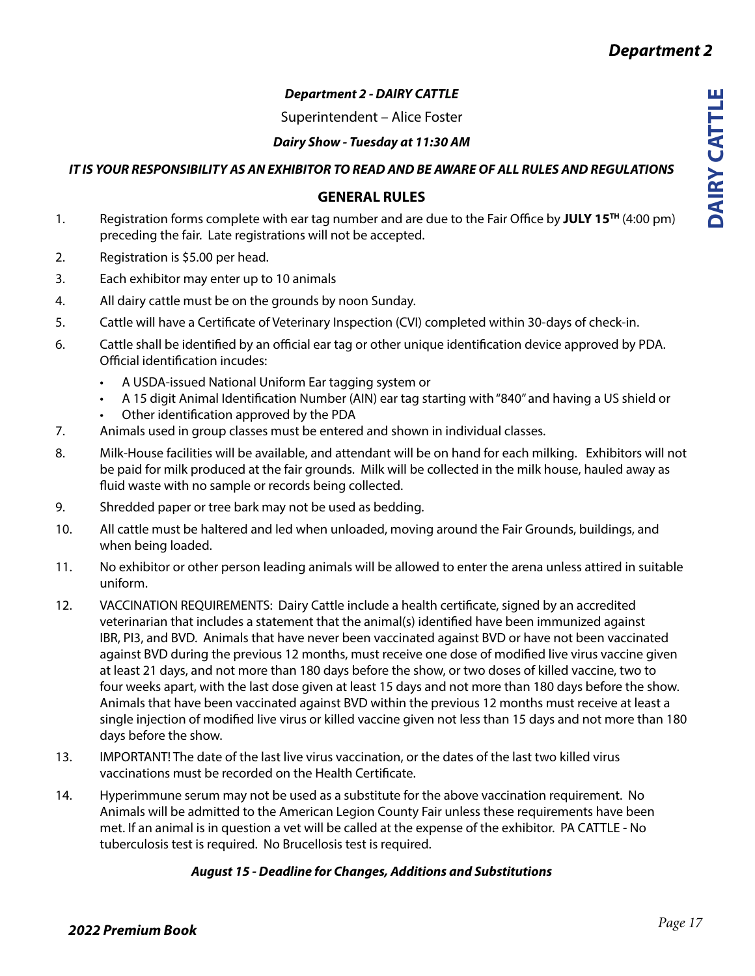# *Department 2 - DAIRY CATTLE*

Superintendent – Alice Foster

### *Dairy Show - Tuesday at 11:30 AM*

*IT IS YOUR RESPONSIBILITY AS AN EXHIBITOR TO READ AND BE AWARE OF ALL RULES AND REGULATIONS*

# **GENERAL RULES**

- 1. Registration forms complete with ear tag number and are due to the Fair Office by **JULY 15TH** (4:00 pm) preceding the fair. Late registrations will not be accepted.
- 2. Registration is \$5.00 per head.
- 3. Each exhibitor may enter up to 10 animals
- 4. All dairy cattle must be on the grounds by noon Sunday.
- 5. Cattle will have a Certificate of Veterinary Inspection (CVI) completed within 30-days of check-in.
- 6. Cattle shall be identified by an official ear tag or other unique identification device approved by PDA. Official identification incudes:
	- A USDA-issued National Uniform Ear tagging system or
	- A 15 digit Animal Identification Number (AIN) ear tag starting with "840" and having a US shield or
	- Other identification approved by the PDA
- 7. Animals used in group classes must be entered and shown in individual classes.
- 8. Milk-House facilities will be available, and attendant will be on hand for each milking. Exhibitors will not be paid for milk produced at the fair grounds. Milk will be collected in the milk house, hauled away as fluid waste with no sample or records being collected.
- 9. Shredded paper or tree bark may not be used as bedding.
- 10. All cattle must be haltered and led when unloaded, moving around the Fair Grounds, buildings, and when being loaded.
- 11. No exhibitor or other person leading animals will be allowed to enter the arena unless attired in suitable uniform.
- 12. VACCINATION REQUIREMENTS: Dairy Cattle include a health certificate, signed by an accredited veterinarian that includes a statement that the animal(s) identified have been immunized against IBR, PI3, and BVD. Animals that have never been vaccinated against BVD or have not been vaccinated against BVD during the previous 12 months, must receive one dose of modified live virus vaccine given at least 21 days, and not more than 180 days before the show, or two doses of killed vaccine, two to four weeks apart, with the last dose given at least 15 days and not more than 180 days before the show. Animals that have been vaccinated against BVD within the previous 12 months must receive at least a single injection of modified live virus or killed vaccine given not less than 15 days and not more than 180 days before the show.
- 13. IMPORTANT! The date of the last live virus vaccination, or the dates of the last two killed virus vaccinations must be recorded on the Health Certificate.
- 14. Hyperimmune serum may not be used as a substitute for the above vaccination requirement. No Animals will be admitted to the American Legion County Fair unless these requirements have been met. If an animal is in question a vet will be called at the expense of the exhibitor. PA CATTLE - No tuberculosis test is required. No Brucellosis test is required.

# *August 15 - Deadline for Changes, Additions and Substitutions*